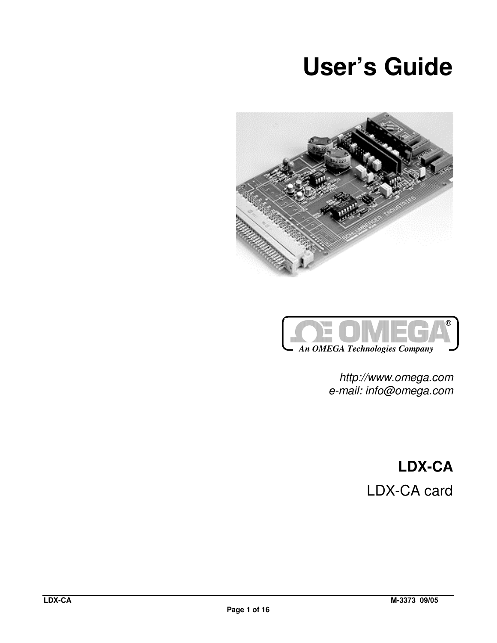# **User's Guide**





*http://www.omega.com e-mail: info@omega.com*

> **LDX-CA** LDX-CA card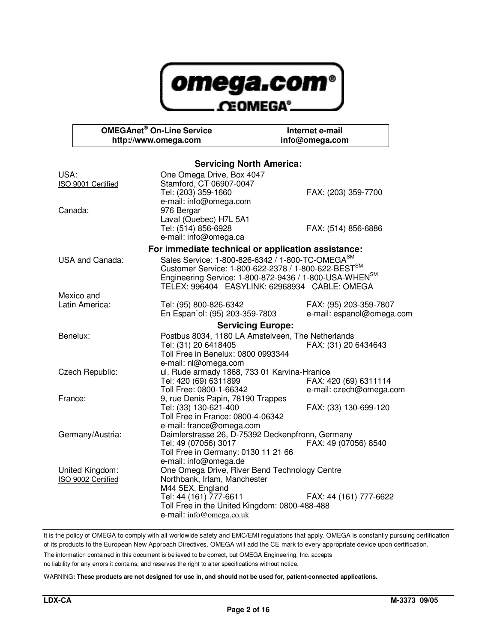

|                              | <b>OMEGAnet<sup>®</sup> On-Line Service</b><br>http://www.omega.com |                                                                              | Internet e-mail<br>info@omega.com |                           |  |
|------------------------------|---------------------------------------------------------------------|------------------------------------------------------------------------------|-----------------------------------|---------------------------|--|
|                              |                                                                     |                                                                              | <b>Servicing North America:</b>   |                           |  |
|                              |                                                                     | One Omega Drive, Box 4047                                                    |                                   |                           |  |
| USA:<br>ISO 9001 Certified   |                                                                     | Stamford, CT 06907-0047                                                      |                                   |                           |  |
|                              |                                                                     | Tel: (203) 359-1660                                                          |                                   | FAX: (203) 359-7700       |  |
|                              |                                                                     | e-mail: info@omega.com                                                       |                                   |                           |  |
|                              | Canada:                                                             | 976 Bergar                                                                   |                                   |                           |  |
|                              |                                                                     | Laval (Quebec) H7L 5A1                                                       |                                   |                           |  |
|                              |                                                                     | Tel: (514) 856-6928                                                          |                                   | FAX: (514) 856-6886       |  |
|                              |                                                                     |                                                                              | e-mail: info@omega.ca             |                           |  |
|                              |                                                                     | For immediate technical or application assistance:                           |                                   |                           |  |
|                              | USA and Canada:                                                     | Sales Service: 1-800-826-6342 / 1-800-TC-OMEGASM                             |                                   |                           |  |
|                              |                                                                     | Customer Service: 1-800-622-2378 / 1-800-622-BEST <sup>SM</sup>              |                                   |                           |  |
|                              |                                                                     | Engineering Service: 1-800-872-9436 / 1-800-USA-WHEN <sup>SM</sup>           |                                   |                           |  |
|                              |                                                                     | TELEX: 996404 EASYLINK: 62968934 CABLE: OMEGA                                |                                   |                           |  |
| Mexico and<br>Latin America: |                                                                     | Tel: (95) 800-826-6342                                                       |                                   | FAX: (95) 203-359-7807    |  |
|                              |                                                                     | En Español: (95) 203-359-7803                                                |                                   | e-mail: espanol@omega.com |  |
|                              |                                                                     |                                                                              |                                   |                           |  |
|                              |                                                                     |                                                                              | <b>Servicing Europe:</b>          |                           |  |
|                              | Benelux:                                                            | Postbus 8034, 1180 LA Amstelveen, The Netherlands                            |                                   |                           |  |
|                              |                                                                     | Tel: (31) 20 6418405<br>Toll Free in Benelux: 0800 0993344                   |                                   | FAX: (31) 20 6434643      |  |
|                              |                                                                     | e-mail: nl@omega.com                                                         |                                   |                           |  |
|                              | Czech Republic:                                                     | ul. Rude armady 1868, 733 01 Karvina-Hranice                                 |                                   |                           |  |
|                              |                                                                     | Tel: 420 (69) 6311899                                                        |                                   | FAX: 420 (69) 6311114     |  |
|                              |                                                                     | Toll Free: 0800-1-66342                                                      |                                   | e-mail: czech@omega.com   |  |
| France:                      |                                                                     | 9, rue Denis Papin, 78190 Trappes                                            |                                   |                           |  |
|                              |                                                                     | Tel: (33) 130-621-400                                                        |                                   | FAX: (33) 130-699-120     |  |
|                              |                                                                     | Toll Free in France: 0800-4-06342                                            |                                   |                           |  |
|                              |                                                                     | e-mail: france@omega.com<br>Daimlerstrasse 26, D-75392 Deckenpfronn, Germany |                                   |                           |  |
|                              | Germany/Austria:                                                    | Tel: 49 (07056) 3017                                                         |                                   | FAX: 49 (07056) 8540      |  |
|                              |                                                                     | Toll Free in Germany: 0130 11 21 66                                          |                                   |                           |  |
|                              |                                                                     | e-mail: info@omega.de                                                        |                                   |                           |  |
|                              | United Kingdom:                                                     | One Omega Drive, River Bend Technology Centre                                |                                   |                           |  |
|                              | ISO 9002 Certified                                                  | Northbank, Irlam, Manchester                                                 |                                   |                           |  |
|                              |                                                                     | M44 5EX, England                                                             |                                   |                           |  |
|                              |                                                                     | Tel: 44 (161) 777-6611                                                       |                                   | FAX: 44 (161) 777-6622    |  |
|                              |                                                                     | Toll Free in the United Kingdom: 0800-488-488                                |                                   |                           |  |
|                              |                                                                     | e-mail: info@omega.co.uk                                                     |                                   |                           |  |

It is the policy of OMEGA to comply with all worldwide safety and EMC/EMI regulations that apply. OMEGA is constantly pursuing certification of its products to the European New Approach Directives. OMEGA will add the CE mark to every appropriate device upon certification.

The information contained in this document is believed to be correct, but OMEGA Engineering, Inc. accepts no liability for any errors it contains, and reserves the right to alter specifications without notice.

WARNING: These products are not designed for use in, and should not be used for, patient-connected applications.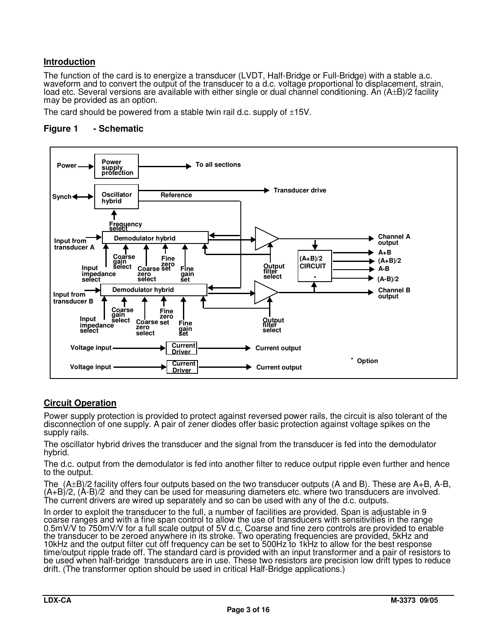#### **Introduction**

The function of the card is to energize a transducer (LVDT, Half-Bridge or Full-Bridge) with a stable a.c. waveform and to convert the output of the transducer to a d.c. voltage proportional to displacement, strain, load etc. Several versions are available with either single or dual channel conditioning. An  $(A\pm B)/2$  facility may be provided as an option.

The card should be powered from a stable twin rail d.c. supply of  $\pm 15V$ .





#### **Circuit Operation**

Power supply protection is provided to protect against reversed power rails, the circuit is also tolerant of the disconnection of one supply. A pair of zener diodes offer basic protection against voltage spikes on the supply rails.

The oscillator hybrid drives the transducer and the signal from the transducer is fed into the demodulator hybrid.

The d.c. output from the demodulator is fed into another filter to reduce output ripple even further and hence to the output.

The  $(A\pm B)/2$  facility offers four outputs based on the two transducer outputs (A and B). These are  $A+B$ , A-B, (A+B)/2, (A-B)/2 and they can be used for measuring diameters etc. where two transducers are involved. The current drivers are wired up separately and so can be used with any of the d.c. outputs.

In order to exploit the transducer to the full, a number of facilities are provided. Span is adjustable in 9 coarse ranges and with a fine span control to allow the use of transducers with sensitivities in the range 0.5mV/V to 750mV/V for a full scale output of 5V d.c. Coarse and fine zero controls are provided to enable the transducer to be zeroed anywhere in its stroke. Two operating frequencies are provided, 5kHz and 10kHz and the output filter cut off frequency can be set to 500Hz to 1kHz to allow for the best response time/output ripple trade off. The standard card is provided with an input transformer and a pair of resistors to be used when half-bridge transducers are in use. These two resistors are precision low drift types to reduce drift. (The transformer option should be used in critical Half-Bridge applications.)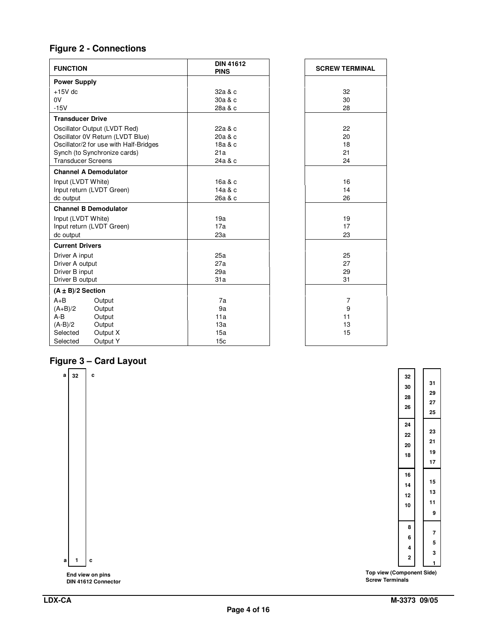## **Figure 2 - Connections**

| <b>FUNCTION</b>                        | <b>DIN 41612</b><br><b>PINS</b> | <b>SCREW TERMINAL</b> |  |
|----------------------------------------|---------------------------------|-----------------------|--|
| <b>Power Supply</b>                    |                                 |                       |  |
| $+15V$ dc                              | 32a & c                         | 32                    |  |
| 0V                                     | 30a & c                         | 30                    |  |
| $-15V$                                 | 28a & c                         | 28                    |  |
| <b>Transducer Drive</b>                |                                 |                       |  |
| Oscillator Output (LVDT Red)           | 22a & c                         | 22                    |  |
| Oscillator 0V Return (LVDT Blue)       | 20a & c                         | 20                    |  |
| Oscillator/2 for use with Half-Bridges | 18a & c                         | 18                    |  |
| Synch (to Synchronize cards)           | 21a                             | 21                    |  |
| <b>Transducer Screens</b>              | 24a & c                         | 24                    |  |
| <b>Channel A Demodulator</b>           |                                 |                       |  |
| Input (LVDT White)                     | 16a & c                         | 16                    |  |
| Input return (LVDT Green)              | 14a & c                         | 14                    |  |
| dc output                              | 26a & c                         | 26                    |  |
| <b>Channel B Demodulator</b>           |                                 |                       |  |
| Input (LVDT White)                     | 19a                             | 19                    |  |
| Input return (LVDT Green)              | 17a                             | 17                    |  |
| dc output                              | 23a                             | 23                    |  |
| <b>Current Drivers</b>                 |                                 |                       |  |
| Driver A input                         | 25a                             | 25                    |  |
| Driver A output                        | 27a                             | 27                    |  |
| Driver B input                         | 29a                             | 29                    |  |
| Driver B output                        | 31a                             | 31                    |  |
| $(A \pm B)/2$ Section                  |                                 |                       |  |
| $A + B$<br>Output                      | 7a                              | $\overline{7}$        |  |
| $(A+B)/2$<br>Output                    | 9a                              | 9                     |  |
| A-B<br>Output                          | 11a                             | 11                    |  |
| $(A-B)/2$<br>Output                    | 13a                             | 13                    |  |
| Selected<br>Output X                   | 15a                             | 15                    |  |
| Selected<br>Output Y                   | 15c                             |                       |  |

# **Figure 3 – Card Layout**

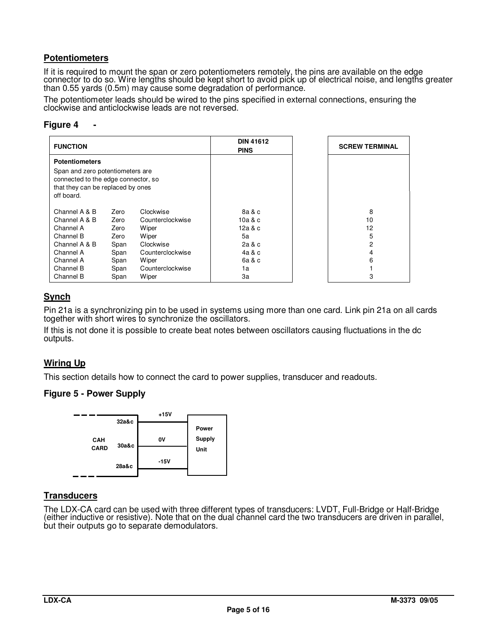#### **Potentiometers**

If it is required to mount the span or zero potentiometers remotely, the pins are available on the edge connector to do so. Wire lengths should be kept short to avoid pick up of electrical noise, and lengths greater than 0.55 yards (0.5m) may cause some degradation of performance.

The potentiometer leads should be wired to the pins specified in external connections, ensuring the clockwise and anticlockwise leads are not reversed.

#### **Figure 4 -**

| <b>FUNCTION</b>                                                                                                            |      |                  | <b>DIN 41612</b><br><b>PINS</b> | <b>SCREW TERMINAL</b> |  |
|----------------------------------------------------------------------------------------------------------------------------|------|------------------|---------------------------------|-----------------------|--|
| <b>Potentiometers</b>                                                                                                      |      |                  |                                 |                       |  |
| Span and zero potentiometers are<br>connected to the edge connector, so<br>that they can be replaced by ones<br>off board. |      |                  |                                 |                       |  |
| Channel A & B                                                                                                              | Zero | Clockwise        | 8a & c                          | 8                     |  |
| Channel A & B                                                                                                              | Zero | Counterclockwise | 10а&с                           | 10                    |  |
| Channel A                                                                                                                  | Zero | Wiper            | 12a & c                         | 12                    |  |
| Channel B                                                                                                                  | Zero | Wiper            | 5a                              | 5                     |  |
| Channel A & B                                                                                                              | Span | Clockwise        | 2a & c                          | 2                     |  |
| Channel A                                                                                                                  | Span | Counterclockwise | 4a & c                          | 4                     |  |
| Channel A                                                                                                                  | Span | Wiper            | 6a & c                          | 6                     |  |
| Channel B                                                                                                                  | Span | Counterclockwise | 1a                              |                       |  |
| Channel B                                                                                                                  | Span | Wiper            | За                              | 3                     |  |

## **Synch**

Pin 21a is a synchronizing pin to be used in systems using more than one card. Link pin 21a on all cards together with short wires to synchronize the oscillators.

If this is not done it is possible to create beat notes between oscillators causing fluctuations in the dc outputs.

#### **Wiring Up**

This section details how to connect the card to power supplies, transducer and readouts.

#### **Figure 5 - Power Supply**



#### **Transducers**

The LDX-CA card can be used with three different types of transducers: LVDT, Full-Bridge or Half-Bridge (either inductive or resistive). Note that on the dual channel card the two transducers are driven in parallel, but their outputs go to separate demodulators.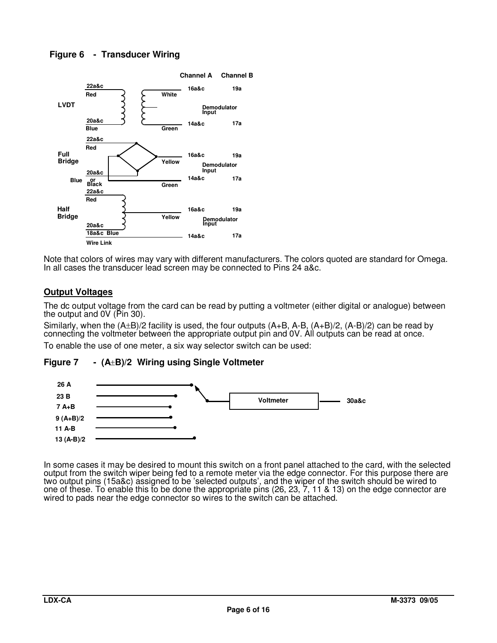

## **Figure 6 - Transducer Wiring**

Note that colors of wires may vary with different manufacturers. The colors quoted are standard for Omega. In all cases the transducer lead screen may be connected to Pins 24 a&c.

#### **Output Voltages**

The dc output voltage from the card can be read by putting a voltmeter (either digital or analogue) between the output and 0V (Pin 30).

Similarly, when the  $(A\pm B)/2$  facility is used, the four outputs  $(A+B, A-B, (A+B)/2, (A-B)/2)$  can be read by connecting the voltmeter between the appropriate output pin and 0V. All outputs can be read at once. To enable the use of one meter, a six way selector switch can be used:

#### **Figure 7 - (AB)/2 Wiring using Single Voltmeter**



In some cases it may be desired to mount this switch on a front panel attached to the card, with the selected output from the switch wiper being fed to a remote meter via the edge connector. For this purpose there are two output pins (15a&c) assigned to be 'selected outputs', and the wiper of the switch should be wired to one of these. To enable this to be done the appropriate pins (26, 23, 7, 11 & 13) on the edge connector are wired to pads near the edge connector so wires to the switch can be attached.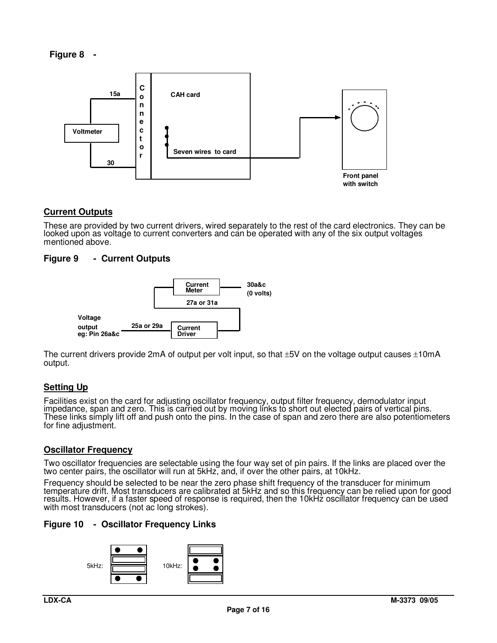#### **Figure 8 -**



#### **Current Outputs**

These are provided by two current drivers, wired separately to the rest of the card electronics. They can be looked upon as voltage to current converters and can be operated with any of the six output voltages mentioned above.

#### **Figure 9 - Current Outputs**



The current drivers provide 2mA of output per volt input, so that  $\pm 5V$  on the voltage output causes  $\pm 10$ mA output.

#### **Setting Up**

Facilities exist on the card for adjusting oscillator frequency, output filter frequency, demodulator input impedance, span and zero. This is carried out by moving links to short out elected pairs of vertical pins. These links simply lift off and push onto the pins. In the case of span and zero there are also potentiometers for fine adjustment.

#### **Oscillator Frequency**

Two oscillator frequencies are selectable using the four way set of pin pairs. If the links are placed over the two center pairs, the oscillator will run at 5kHz, and, if over the other pairs, at 10kHz.

Frequency should be selected to be near the zero phase shift frequency of the transducer for minimum temperature drift. Most transducers are calibrated at 5kHz and so this frequency can be relied upon for good results. However, if a faster speed of response is required, then the 10kHz oscillator frequency can be used with most transducers (not ac long strokes).

#### **Figure 10 - Oscillator Frequency Links**

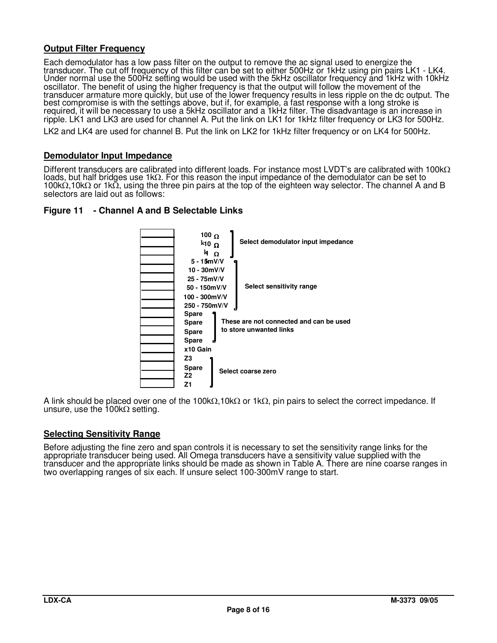#### **Output Filter Frequency**

Each demodulator has a low pass filter on the output to remove the ac signal used to energize the transducer. The cut off frequency of this filter can be set to either 500Hz or 1kHz using pin pairs LK1 - LK4. Under normal use the 500Hz setting would be used with the 5kHz oscillator frequency and 1kHz with 10kHz oscillator. The benefit of using the higher frequency is that the output will follow the movement of the transducer armature more quickly, but use of the lower frequency results in less ripple on the dc output. The best compromise is with the settings above, but if, for example, a fast response with a long stroke is required, it will be necessary to use a 5kHz oscillator and a 1kHz filter. The disadvantage is an increase in ripple. LK1 and LK3 are used for channel A. Put the link on LK1 for 1kHz filter frequency or LK3 for 500Hz.

LK2 and LK4 are used for channel B. Put the link on LK2 for 1kHz filter frequency or on LK4 for 500Hz.

#### **Demodulator Input Impedance**

Different transducers are calibrated into different loads. For instance most LVDT's are calibrated with 100k $\Omega$ loads, but half bridges use 1k-. For this reason the input impedance of the demodulator can be set to 100kΩ, 10kΩ or 1kΩ, using the three pin pairs at the top of the eighteen way selector. The channel A and B selectors are laid out as follows:





A link should be placed over one of the 100k $\Omega$ , 10k $\Omega$  or 1k $\Omega$ , pin pairs to select the correct impedance. If unsure, use the  $100k\Omega$  setting.

#### **Selecting Sensitivity Range**

Before adjusting the fine zero and span controls it is necessary to set the sensitivity range links for the appropriate transducer being used. All Omega transducers have a sensitivity value supplied with the transducer and the appropriate links should be made as shown in Table A. There are nine coarse ranges in two overlapping ranges of six each. If unsure select 100-300mV range to start.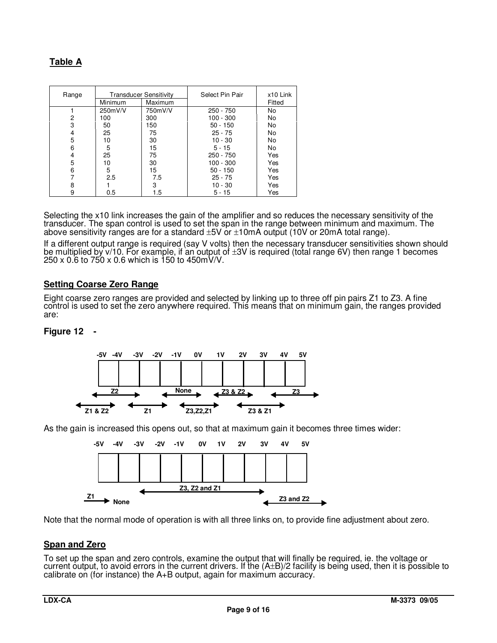## **Table A**

| Range | <b>Transducer Sensitivity</b> |         | Select Pin Pair | x10 Link |
|-------|-------------------------------|---------|-----------------|----------|
|       | Minimum                       | Maximum |                 | Fitted   |
|       | 250mV/V                       | 750mV/V | $250 - 750$     | No       |
| 2     | 100                           | 300     | $100 - 300$     | No       |
| 3     | 50                            | 150     | $50 - 150$      | No       |
| 4     | 25                            | 75      | $25 - 75$       | No       |
| 5     | 10                            | 30      | $10 - 30$       | No       |
| 6     | 5                             | 15      | $5 - 15$        | No       |
| 4     | 25                            | 75      | $250 - 750$     | Yes      |
| 5     | 10                            | 30      | $100 - 300$     | Yes      |
| 6     | 5                             | 15      | $50 - 150$      | Yes      |
|       | 2.5                           | 7.5     | $25 - 75$       | Yes      |
| 8     |                               | 3       | $10 - 30$       | Yes      |
| 9     | 0.5                           | 1.5     | $5 - 15$        | Yes      |

Selecting the x10 link increases the gain of the amplifier and so reduces the necessary sensitivity of the transducer. The span control is used to set the span in the range between minimum and maximum. The above sensitivity ranges are for a standard  $\pm 5V$  or  $\pm 10$ mA output (10V or 20mA total range).

If a different output range is required (say V volts) then the necessary transducer sensitivities shown should be multiplied by  $v/10$ . For example, if an output of  $\pm 3V$  is required (total range 6V) then range 1 becomes 250 x 0.6 to 750 x 0.6 which is 150 to 450mV/V.

#### **Setting Coarse Zero Range**

Eight coarse zero ranges are provided and selected by linking up to three off pin pairs Z1 to Z3. A fine control is used to set the zero anywhere required. This means that on minimum gain, the ranges provided are:

#### **Figure 12 -**



As the gain is increased this opens out, so that at maximum gain it becomes three times wider:



Note that the normal mode of operation is with all three links on, to provide fine adjustment about zero.

#### **Span and Zero**

To set up the span and zero controls, examine the output that will finally be required, ie. the voltage or<br>current output, to avoid errors in the current drivers. If the (A±B)/2 facility is being used, then it is possible calibrate on (for instance) the A+B output, again for maximum accuracy.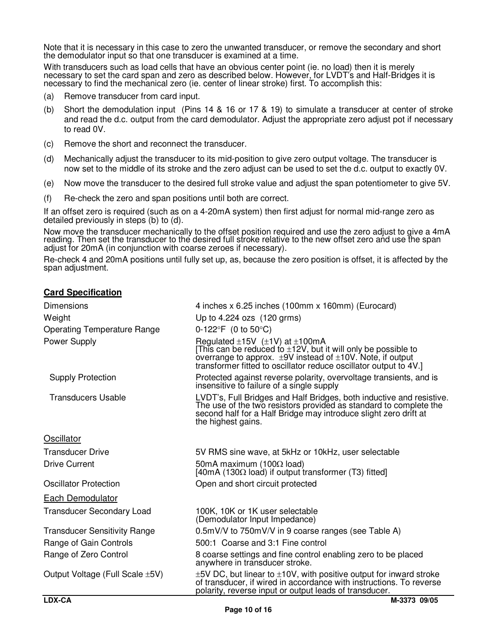Note that it is necessary in this case to zero the unwanted transducer, or remove the secondary and short the demodulator input so that one transducer is examined at a time.

With transducers such as load cells that have an obvious center point (ie. no load) then it is merely necessary to set the card span and zero as described below. However, for LVDT's and Half-Bridges it is necessary to find the mechanical zero (ie. center of linear stroke) first. To accomplish this:

- (a) Remove transducer from card input.
- (b) Short the demodulation input (Pins 14 & 16 or 17 & 19) to simulate a transducer at center of stroke and read the d.c. output from the card demodulator. Adjust the appropriate zero adjust pot if necessary to read 0V.
- (c) Remove the short and reconnect the transducer.
- (d) Mechanically adjust the transducer to its mid-position to give zero output voltage. The transducer is now set to the middle of its stroke and the zero adjust can be used to set the d.c. output to exactly 0V.
- (e) Now move the transducer to the desired full stroke value and adjust the span potentiometer to give 5V.
- (f) Re-check the zero and span positions until both are correct.

If an offset zero is required (such as on a 4-20mA system) then first adjust for normal mid-range zero as detailed previously in steps  $(b)$  to  $(d)$ .

Now move the transducer mechanically to the offset position required and use the zero adjust to give a 4mA reading. Then set the transducer to the desired full stroke relative to the new offset zero and use the span adjust for 20mA (in conjunction with coarse zeroes if necessary).

Re-check 4 and 20mA positions until fully set up, as, because the zero position is offset, it is affected by the span adjustment.

#### **Card Specification**

| Dimensions                          | 4 inches x 6.25 inches (100mm x 160mm) (Eurocard)                                                                                                                                                                                                                  |
|-------------------------------------|--------------------------------------------------------------------------------------------------------------------------------------------------------------------------------------------------------------------------------------------------------------------|
| Weight                              | Up to 4.224 ozs (120 grms)                                                                                                                                                                                                                                         |
| <b>Operating Temperature Range</b>  | 0-122°F (0 to 50°C)                                                                                                                                                                                                                                                |
| Power Supply                        | Regulated $\pm 15V$ ( $\pm 1V$ ) at $\pm 100$ mA<br>[This can be reduced to $\pm$ 12V, but it will only be possible to<br>overrange to approx. $\pm$ 9V instead of $\pm$ 10V. Note, if output<br>transformer fitted to oscillator reduce oscillator output to 4V.] |
| <b>Supply Protection</b>            | Protected against reverse polarity, overvoltage transients, and is<br>insensitive to failure of a single supply                                                                                                                                                    |
| <b>Transducers Usable</b>           | LVDT's, Full Bridges and Half Bridges, both inductive and resistive.<br>The use of the two resistors provided as standard to complete the<br>second half for a Half Bridge may introduce slight zero drift at<br>the highest gains.                                |
| Oscillator                          |                                                                                                                                                                                                                                                                    |
| <b>Transducer Drive</b>             | 5V RMS sine wave, at 5kHz or 10kHz, user selectable                                                                                                                                                                                                                |
| <b>Drive Current</b>                | 50mA maximum (100 $\Omega$ load)<br>[40mA (130 $\Omega$ load) if output transformer (T3) fitted]                                                                                                                                                                   |
| <b>Oscillator Protection</b>        | Open and short circuit protected                                                                                                                                                                                                                                   |
| Each Demodulator                    |                                                                                                                                                                                                                                                                    |
| <b>Transducer Secondary Load</b>    | 100K, 10K or 1K user selectable<br>(Demodulator Input Impedance)                                                                                                                                                                                                   |
| <b>Transducer Sensitivity Range</b> | 0.5mV/V to 750mV/V in 9 coarse ranges (see Table A)                                                                                                                                                                                                                |
| Range of Gain Controls              | 500:1 Coarse and 3:1 Fine control                                                                                                                                                                                                                                  |
| Range of Zero Control               | 8 coarse settings and fine control enabling zero to be placed<br>anywhere in transducer stroke.                                                                                                                                                                    |
| Output Voltage (Full Scale ±5V)     | $\pm$ 5V DC, but linear to $\pm$ 10V, with positive output for inward stroke<br>of transducer, if wired in accordance with instructions. To reverse<br>polarity, reverse input or output leads of transducer.                                                      |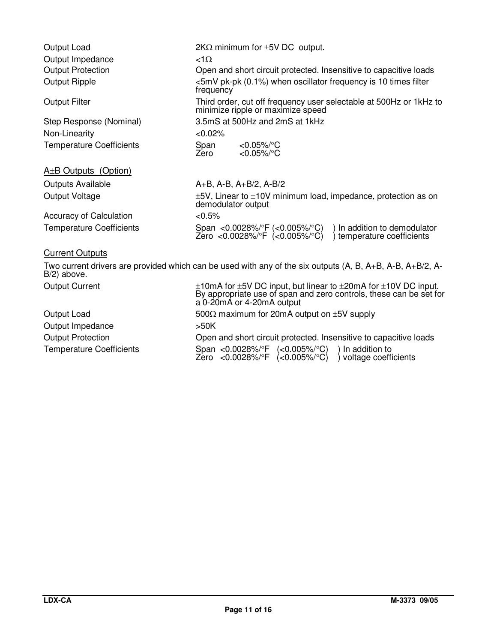| Output Load                     | $2K\Omega$ minimum for $\pm 5V$ DC output.                                                                                                                                            |  |  |  |
|---------------------------------|---------------------------------------------------------------------------------------------------------------------------------------------------------------------------------------|--|--|--|
| Output Impedance                | $<1\Omega$                                                                                                                                                                            |  |  |  |
| <b>Output Protection</b>        | Open and short circuit protected. Insensitive to capacitive loads                                                                                                                     |  |  |  |
| <b>Output Ripple</b>            | <5mV pk-pk (0.1%) when oscillator frequency is 10 times filter<br>frequency                                                                                                           |  |  |  |
| <b>Output Filter</b>            | Third order, cut off frequency user selectable at 500Hz or 1kHz to<br>minimize ripple or maximize speed                                                                               |  |  |  |
| Step Response (Nominal)         | 3.5mS at 500Hz and 2mS at 1kHz                                                                                                                                                        |  |  |  |
| Non-Linearity                   | $< 0.02\%$                                                                                                                                                                            |  |  |  |
| <b>Temperature Coefficients</b> | $< 0.05\%$ / °C<br>Span<br>Zero<br>$<0.05\%$ /°C                                                                                                                                      |  |  |  |
| $A\pm B$ Outputs (Option)       |                                                                                                                                                                                       |  |  |  |
| <b>Outputs Available</b>        | $A+B$ , A-B, $A+B/2$ , A-B/2                                                                                                                                                          |  |  |  |
| Output Voltage                  | $\pm$ 5V, Linear to $\pm$ 10V minimum load, impedance, protection as on<br>demodulator output                                                                                         |  |  |  |
| <b>Accuracy of Calculation</b>  | < 0.5%                                                                                                                                                                                |  |  |  |
| <b>Temperature Coefficients</b> | Span <0.0028%/°F (<0.005%/°C)<br>) In addition to demodulator<br>Zero <0.0028%/°F (<0.005%/°C)<br>) temperature coefficients                                                          |  |  |  |
| <b>Current Outputs</b>          |                                                                                                                                                                                       |  |  |  |
| $B/2$ ) above.                  | Two current drivers are provided which can be used with any of the six outputs $(A, B, A+B, A-B, A+B/2, A-D)$                                                                         |  |  |  |
| <b>Output Current</b>           | $\pm$ 10mA for $\pm$ 5V DC input, but linear to $\pm$ 20mA for $\pm$ 10V DC input.<br>By appropriate use of span and zero controls, these can be set for<br>a 0-20mA or 4-20mA output |  |  |  |
| Output Load                     | 500 $\Omega$ maximum for 20mA output on $\pm 5V$ supply                                                                                                                               |  |  |  |
| Output Impedance                | >50K                                                                                                                                                                                  |  |  |  |
| <b>Output Protection</b>        | Open and short circuit protected. Insensitive to capacitive loads                                                                                                                     |  |  |  |
| <b>Temperature Coefficients</b> | Span <0.0028%/°F<br>$(<0.005\%$ <sup>o</sup> C)<br>In addition to<br>$\left\langle 0.005\% \right\rangle ^{\circ}C$<br>Zero <0.0028%/°F<br>voltage coefficients                       |  |  |  |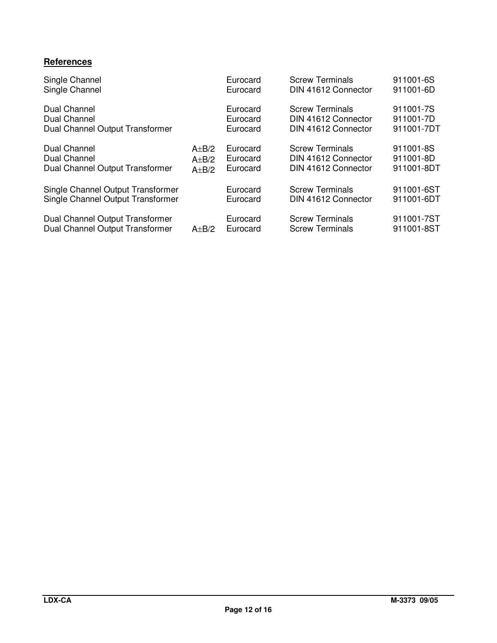# **References**

| Single Channel                    |            | Eurocard | <b>Screw Terminals</b> | 911001-6S  |
|-----------------------------------|------------|----------|------------------------|------------|
| Single Channel                    |            | Eurocard | DIN 41612 Connector    | 911001-6D  |
| Dual Channel                      |            | Eurocard | <b>Screw Terminals</b> | 911001-7S  |
| Dual Channel                      |            | Eurocard | DIN 41612 Connector    | 911001-7D  |
| Dual Channel Output Transformer   |            | Eurocard | DIN 41612 Connector    | 911001-7DT |
| Dual Channel                      | $A\pm B/2$ | Eurocard | <b>Screw Terminals</b> | 911001-8S  |
| Dual Channel                      | $A\pm B/2$ | Eurocard | DIN 41612 Connector    | 911001-8D  |
| Dual Channel Output Transformer   | $A\pm B/2$ | Eurocard | DIN 41612 Connector    | 911001-8DT |
| Single Channel Output Transformer |            | Eurocard | <b>Screw Terminals</b> | 911001-6ST |
| Single Channel Output Transformer |            | Eurocard | DIN 41612 Connector    | 911001-6DT |
| Dual Channel Output Transformer   | $A\pm B/2$ | Eurocard | <b>Screw Terminals</b> | 911001-7ST |
| Dual Channel Output Transformer   |            | Eurocard | <b>Screw Terminals</b> | 911001-8ST |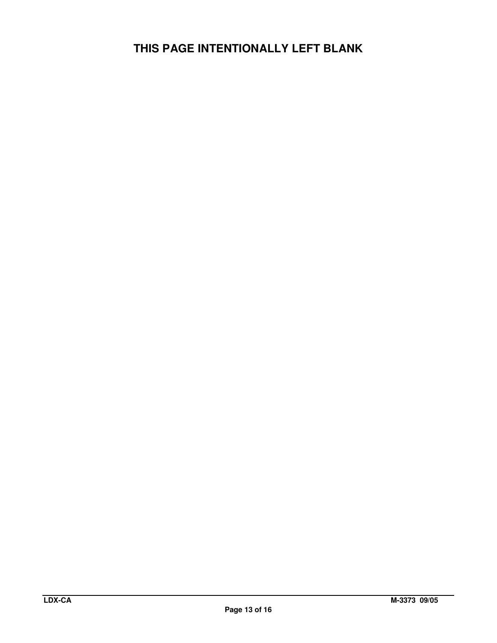# **THIS PAGE INTENTIONALLY LEFT BLANK**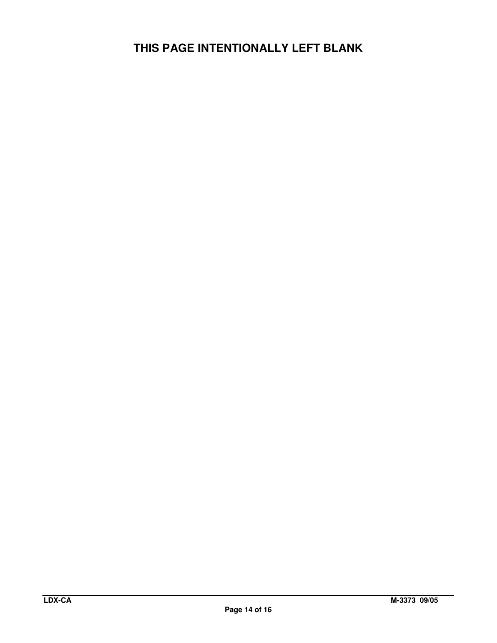# **THIS PAGE INTENTIONALLY LEFT BLANK**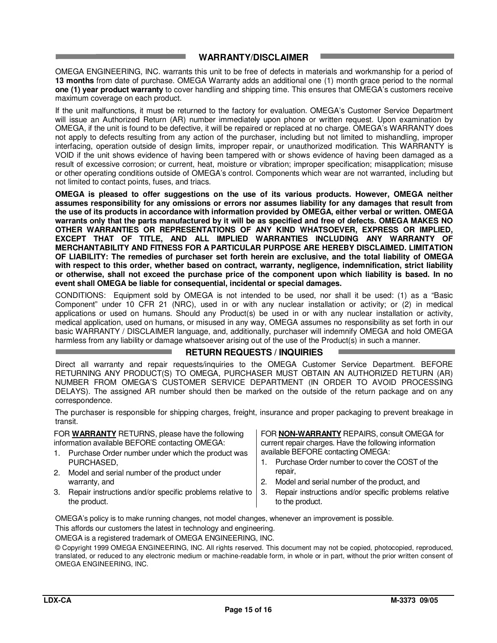#### **WARRANTY/DISCLAIMER**

OMEGA ENGINEERING, INC. warrants this unit to be free of defects in materials and workmanship for a period of **13 months** from date of purchase. OMEGA Warranty adds an additional one (1) month grace period to the normal **one (1) year product warranty** to cover handling and shipping time. This ensures that OMEGA's customers receive maximum coverage on each product.

If the unit malfunctions, it must be returned to the factory for evaluation. OMEGA's Customer Service Department will issue an Authorized Return (AR) number immediately upon phone or written request. Upon examination by OMEGA, if the unit is found to be defective, it will be repaired or replaced at no charge. OMEGA's WARRANTY does not apply to defects resulting from any action of the purchaser, including but not limited to mishandling, improper interfacing, operation outside of design limits, improper repair, or unauthorized modification. This WARRANTY is VOID if the unit shows evidence of having been tampered with or shows evidence of having been damaged as a result of excessive corrosion; or current, heat, moisture or vibration; improper specification; misapplication; misuse or other operating conditions outside of OMEGA's control. Components which wear are not warranted, including but not limited to contact points, fuses, and triacs.

**OMEGA is pleased to offer suggestions on the use of its various products. However, OMEGA neither assumes responsibility for any omissions or errors nor assumes liability for any damages that result from the use of its products in accordance with information provided by OMEGA, either verbal or written. OMEGA** warrants only that the parts manufactured by it will be as specified and free of defects. OMEGA MAKES NO **OTHER WARRANTIES OR REPRESENTATIONS OF ANY KIND WHATSOEVER, EXPRESS OR IMPLIED, EXCEPT THAT OF TITLE, AND ALL IMPLIED WARRANTIES INCLUDING ANY WARRANTY OF MERCHANTABILITY AND FITNESS FOR A PARTICULAR PURPOSE ARE HEREBY DISCLAIMED. LIMITATION OF LIABILITY: The remedies of purchaser set forth herein are exclusive, and the total liability of OMEGA with respect to this order, whether based on contract, warranty, negligence, indemnification, strict liability** or otherwise, shall not exceed the purchase price of the component upon which liability is based. In no **event shall OMEGA be liable for consequential, incidental or special damages.**

CONDITIONS: Equipment sold by OMEGA is not intended to be used, nor shall it be used: (1) as a "Basic Component" under 10 CFR 21 (NRC), used in or with any nuclear installation or activity; or (2) in medical applications or used on humans. Should any Product(s) be used in or with any nuclear installation or activity, medical application, used on humans, or misused in any way, OMEGA assumes no responsibility as set forth in our basic WARRANTY / DISCLAIMER language, and, additionally, purchaser will indemnify OMEGA and hold OMEGA harmless from any liability or damage whatsoever arising out of the use of the Product(s) in such a manner.

#### **RETURN REQUESTS / INQUIRIES**

Direct all warranty and repair requests/inquiries to the OMEGA Customer Service Department. BEFORE RETURNING ANY PRODUCT(S) TO OMEGA, PURCHASER MUST OBTAIN AN AUTHORIZED RETURN (AR) NUMBER FROM OMEGA'S CUSTOMER SERVICE DEPARTMENT (IN ORDER TO AVOID PROCESSING DELAYS). The assigned AR number should then be marked on the outside of the return package and on any correspondence.

The purchaser is responsible for shipping charges, freight, insurance and proper packaging to prevent breakage in transit.

FOR **WARRANTY** RETURNS, please have the following information available BEFORE contacting OMEGA:

1. Purchase Order number under which the product was PURCHASED,

3. Repair instructions and/or specific problems relative to

- 2. Model and serial number of the product under warranty, and
- FOR **NON-WARRANTY** REPAIRS, consult OMEGA for current repair charges. Have the following information available BEFORE contacting OMEGA:
- 1. Purchase Order number to cover the COST of the repair,
- 2. Model and serial number of the product, and
- 3. Repair instructions and/or specific problems relative to the product.

the product.

OMEGA's policy is to make running changes, not model changes, whenever an improvement is possible. This affords our customers the latest in technology and engineering.

OMEGA is a registered trademark of OMEGA ENGINEERING, INC.

© Copyright 1999 OMEGA ENGINEERING, INC. All rights reserved. This document may not be copied, photocopied, reproduced, translated, or reduced to any electronic medium or machine-readable form, in whole or in part, without the prior written consent of OMEGA ENGINEERING, INC.